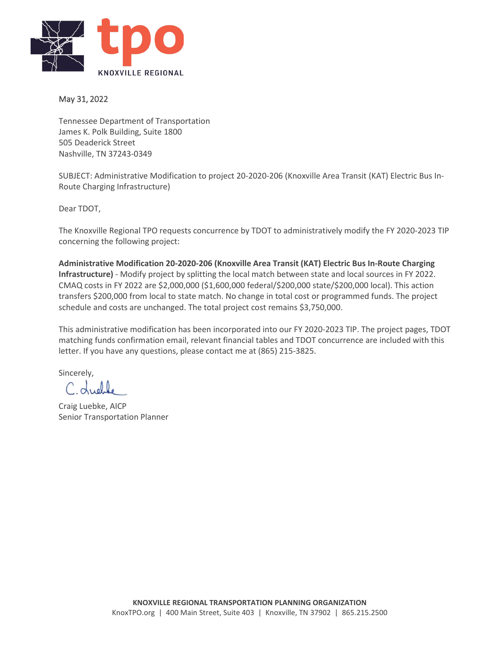

## May 31, 2022

Tennessee Department of Transportation James K. Polk Building, Suite 1800 505 Deaderick Street Nashville, TN 37243-0349

SUBJECT: Administrative Modification to project 20-2020-206 (Knoxville Area Transit (KAT) Electric Bus In-Route Charging Infrastructure)

Dear TDOT,

The Knoxville Regional TPO requests concurrence by TDOT to administratively modify the FY 2020-2023 TIP concerning the following project:

**Administrative Modification 20-2020-206 (Knoxville Area Transit (KAT) Electric Bus In-Route Charging Infrastructure)** - Modify project by splitting the local match between state and local sources in FY 2022. CMAQ costs in FY 2022 are \$2,000,000 (\$1,600,000 federal/\$200,000 state/\$200,000 local). This action transfers \$200,000 from local to state match. No change in total cost or programmed funds. The project schedule and costs are unchanged. The total project cost remains \$3,750,000.

This administrative modification has been incorporated into our FY 2020-2023 TIP. The project pages, TDOT matching funds confirmation email, relevant financial tables and TDOT concurrence are included with this letter. If you have any questions, please contact me at (865) 215-3825.

Sincerely,

 $\Delta$ 

Craig Luebke, AICP Senior Transportation Planner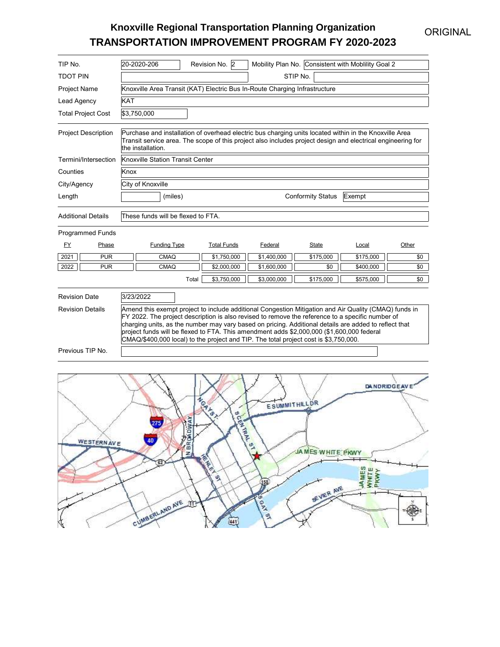## **ORIGINAL**

## **Knoxville Regional Transportation Planning Organization TRANSPORTATION IMPROVEMENT PROGRAM FY 2020-2023**

| TIP No.                                              |                           | Mobility Plan No. Consistent with Mobility Goal 2<br>20-2020-206<br>Revision No. 2                                                                                                                                                         |                                                                                                                                                                                                                                                                                                                                                                                                                                                                                                         |                    |             |           |           |       |  |  |  |
|------------------------------------------------------|---------------------------|--------------------------------------------------------------------------------------------------------------------------------------------------------------------------------------------------------------------------------------------|---------------------------------------------------------------------------------------------------------------------------------------------------------------------------------------------------------------------------------------------------------------------------------------------------------------------------------------------------------------------------------------------------------------------------------------------------------------------------------------------------------|--------------------|-------------|-----------|-----------|-------|--|--|--|
| <b>TDOT PIN</b>                                      |                           |                                                                                                                                                                                                                                            | STIP No.                                                                                                                                                                                                                                                                                                                                                                                                                                                                                                |                    |             |           |           |       |  |  |  |
| Project Name                                         |                           |                                                                                                                                                                                                                                            | Knoxville Area Transit (KAT) Electric Bus In-Route Charging Infrastructure                                                                                                                                                                                                                                                                                                                                                                                                                              |                    |             |           |           |       |  |  |  |
| Lead Agency                                          |                           | <b>KAT</b>                                                                                                                                                                                                                                 |                                                                                                                                                                                                                                                                                                                                                                                                                                                                                                         |                    |             |           |           |       |  |  |  |
|                                                      | <b>Total Project Cost</b> |                                                                                                                                                                                                                                            | \$3,750,000                                                                                                                                                                                                                                                                                                                                                                                                                                                                                             |                    |             |           |           |       |  |  |  |
| <b>Project Description</b>                           |                           | Purchase and installation of overhead electric bus charging units located within in the Knoxville Area<br>Transit service area. The scope of this project also includes project design and electrical engineering for<br>the installation. |                                                                                                                                                                                                                                                                                                                                                                                                                                                                                                         |                    |             |           |           |       |  |  |  |
|                                                      | Termini/Intersection      |                                                                                                                                                                                                                                            | Knoxville Station Transit Center                                                                                                                                                                                                                                                                                                                                                                                                                                                                        |                    |             |           |           |       |  |  |  |
| Counties                                             |                           | Knox                                                                                                                                                                                                                                       |                                                                                                                                                                                                                                                                                                                                                                                                                                                                                                         |                    |             |           |           |       |  |  |  |
| City/Agency                                          |                           | City of Knoxville                                                                                                                                                                                                                          |                                                                                                                                                                                                                                                                                                                                                                                                                                                                                                         |                    |             |           |           |       |  |  |  |
| Length                                               |                           |                                                                                                                                                                                                                                            | (miles)<br><b>Conformity Status</b><br>Exempt                                                                                                                                                                                                                                                                                                                                                                                                                                                           |                    |             |           |           |       |  |  |  |
| <b>Additional Details</b><br><b>Programmed Funds</b> |                           |                                                                                                                                                                                                                                            | These funds will be flexed to FTA.                                                                                                                                                                                                                                                                                                                                                                                                                                                                      |                    |             |           |           |       |  |  |  |
| FY                                                   | Phase                     | <b>Funding Type</b>                                                                                                                                                                                                                        |                                                                                                                                                                                                                                                                                                                                                                                                                                                                                                         | <b>Total Funds</b> | Federal     | State     | Local     | Other |  |  |  |
| 2021                                                 | <b>PUR</b>                |                                                                                                                                                                                                                                            | CMAQ                                                                                                                                                                                                                                                                                                                                                                                                                                                                                                    | \$1,750,000        | \$1.400.000 | \$175,000 | \$175,000 | \$0   |  |  |  |
| 2022                                                 | <b>PUR</b>                |                                                                                                                                                                                                                                            | CMAQ                                                                                                                                                                                                                                                                                                                                                                                                                                                                                                    | \$2,000,000        | \$1,600,000 | \$0       | \$400,000 | \$0   |  |  |  |
|                                                      |                           |                                                                                                                                                                                                                                            | \$175,000<br>\$3,750,000<br>\$3,000,000<br>\$575,000<br>\$0<br>Total                                                                                                                                                                                                                                                                                                                                                                                                                                    |                    |             |           |           |       |  |  |  |
| <b>Revision Date</b>                                 |                           | 3/23/2022                                                                                                                                                                                                                                  |                                                                                                                                                                                                                                                                                                                                                                                                                                                                                                         |                    |             |           |           |       |  |  |  |
| <b>Revision Details</b>                              |                           |                                                                                                                                                                                                                                            | Amend this exempt project to include additional Congestion Mitigation and Air Quality (CMAQ) funds in<br>FY 2022. The project description is also revised to remove the reference to a specific number of<br>charging units, as the number may vary based on pricing. Additional details are added to reflect that<br>project funds will be flexed to FTA. This amendment adds \$2,000,000 (\$1,600,000 federal<br>CMAQ/\$400,000 local) to the project and TIP. The total project cost is \$3,750,000. |                    |             |           |           |       |  |  |  |
| Previous TIP No.                                     |                           |                                                                                                                                                                                                                                            |                                                                                                                                                                                                                                                                                                                                                                                                                                                                                                         |                    |             |           |           |       |  |  |  |

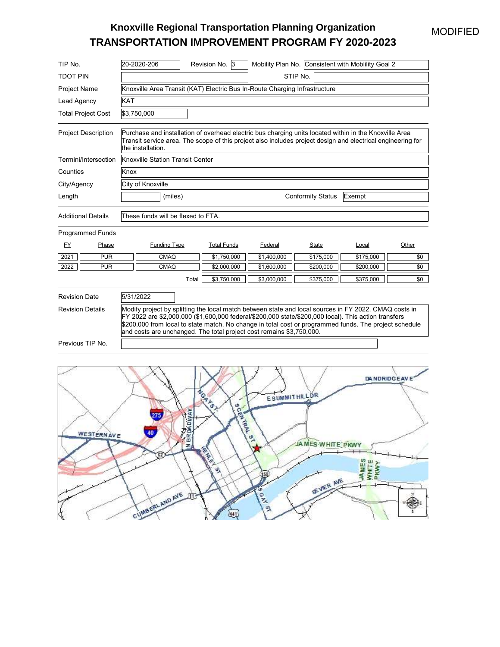### MODIFIED

## **Knoxville Regional Transportation Planning Organization TRANSPORTATION IMPROVEMENT PROGRAM FY 2020-2023**

| TIP No.                    | 20-2020-206                                                                                                                                                                                                                                                                                                                                                                                     | Revision No. 3                                                             |             |           | Mobility Plan No. Consistent with Mobility Goal 2 |       |  |  |  |  |
|----------------------------|-------------------------------------------------------------------------------------------------------------------------------------------------------------------------------------------------------------------------------------------------------------------------------------------------------------------------------------------------------------------------------------------------|----------------------------------------------------------------------------|-------------|-----------|---------------------------------------------------|-------|--|--|--|--|
| <b>TDOT PIN</b>            | STIP No.                                                                                                                                                                                                                                                                                                                                                                                        |                                                                            |             |           |                                                   |       |  |  |  |  |
| Project Name               |                                                                                                                                                                                                                                                                                                                                                                                                 | Knoxville Area Transit (KAT) Electric Bus In-Route Charging Infrastructure |             |           |                                                   |       |  |  |  |  |
| Lead Agency                | <b>KAT</b>                                                                                                                                                                                                                                                                                                                                                                                      |                                                                            |             |           |                                                   |       |  |  |  |  |
| <b>Total Project Cost</b>  | \$3,750,000                                                                                                                                                                                                                                                                                                                                                                                     |                                                                            |             |           |                                                   |       |  |  |  |  |
| <b>Project Description</b> | Purchase and installation of overhead electric bus charging units located within in the Knoxville Area<br>Transit service area. The scope of this project also includes project design and electrical engineering for<br>the installation.                                                                                                                                                      |                                                                            |             |           |                                                   |       |  |  |  |  |
| Termini/Intersection       |                                                                                                                                                                                                                                                                                                                                                                                                 | Knoxville Station Transit Center                                           |             |           |                                                   |       |  |  |  |  |
| Counties                   | Knox                                                                                                                                                                                                                                                                                                                                                                                            |                                                                            |             |           |                                                   |       |  |  |  |  |
| City/Agency                | City of Knoxville                                                                                                                                                                                                                                                                                                                                                                               |                                                                            |             |           |                                                   |       |  |  |  |  |
| Length                     | (miles)<br><b>Conformity Status</b><br>Exempt                                                                                                                                                                                                                                                                                                                                                   |                                                                            |             |           |                                                   |       |  |  |  |  |
| <b>Additional Details</b>  | These funds will be flexed to FTA.                                                                                                                                                                                                                                                                                                                                                              |                                                                            |             |           |                                                   |       |  |  |  |  |
| <b>Programmed Funds</b>    |                                                                                                                                                                                                                                                                                                                                                                                                 |                                                                            |             |           |                                                   |       |  |  |  |  |
| FY<br>Phase                | <b>Funding Type</b>                                                                                                                                                                                                                                                                                                                                                                             | <b>Total Funds</b>                                                         | Federal     | State     | Local                                             | Other |  |  |  |  |
| 2021<br><b>PUR</b>         | CMAQ                                                                                                                                                                                                                                                                                                                                                                                            | \$1,750,000                                                                | \$1,400,000 | \$175,000 | \$175,000                                         | \$0   |  |  |  |  |
| 2022<br><b>PUR</b>         | CMAQ                                                                                                                                                                                                                                                                                                                                                                                            | \$2,000,000                                                                | \$1,600,000 | \$200,000 | \$200,000                                         | \$0   |  |  |  |  |
|                            |                                                                                                                                                                                                                                                                                                                                                                                                 | Total<br>\$3,750,000                                                       | \$3,000,000 | \$375,000 | \$375,000                                         | \$0   |  |  |  |  |
| <b>Revision Date</b>       | 5/31/2022                                                                                                                                                                                                                                                                                                                                                                                       |                                                                            |             |           |                                                   |       |  |  |  |  |
| <b>Revision Details</b>    | Modify project by splitting the local match between state and local sources in FY 2022. CMAQ costs in<br>FY 2022 are \$2,000,000 (\$1,600,000 federal/\$200,000 state/\$200,000 local). This action transfers<br>\$200,000 from local to state match. No change in total cost or programmed funds. The project schedule<br>and costs are unchanged. The total project cost remains \$3,750,000. |                                                                            |             |           |                                                   |       |  |  |  |  |
| Previous TIP No.           |                                                                                                                                                                                                                                                                                                                                                                                                 |                                                                            |             |           |                                                   |       |  |  |  |  |
|                            |                                                                                                                                                                                                                                                                                                                                                                                                 |                                                                            |             |           |                                                   |       |  |  |  |  |

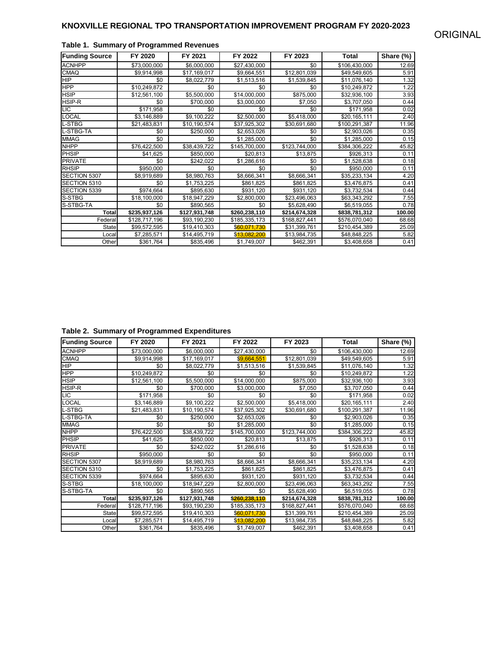| <b>Funding Source</b> | FY 2020       | FY 2021       | FY 2022       | FY 2023       | Total         | Share (%) |
|-----------------------|---------------|---------------|---------------|---------------|---------------|-----------|
| <b>ACNHPP</b>         | \$73,000,000  | \$6,000,000   | \$27,430,000  | \$0           | \$106,430,000 | 12.69     |
| <b>CMAQ</b>           | \$9,914,998   | \$17,169,017  | \$9,664,551   | \$12,801,039  | \$49,549,605  | 5.91      |
| <b>HIP</b>            | \$0           | \$8,022,779   | \$1,513,516   | \$1,539,845   | \$11,076,140  | 1.32      |
| <b>HPP</b>            | \$10,249,872  | \$0           | \$0           | \$0           | \$10,249,872  | 1.22      |
| <b>HSIP</b>           | \$12,561,100  | \$5,500,000   | \$14,000,000  | \$875,000     | \$32,936,100  | 3.93      |
| <b>HSIP-R</b>         | \$0           | \$700,000     | \$3,000,000   | \$7,050       | \$3,707,050   | 0.44      |
| LIC.                  | \$171,958     | \$0           | \$0           | \$0           | \$171,958     | 0.02      |
| LOCAL                 | \$3,146,889   | \$9,100,222   | \$2,500,000   | \$5,418,000   | \$20,165,111  | 2.40      |
| -STBG                 | \$21,483,831  | \$10,190,574  | \$37,925,302  | \$30,691,680  | \$100,291,387 | 11.96     |
| L-STBG-TA             | \$0           | \$250,000     | \$2,653,026   | \$0           | \$2,903,026   | 0.35      |
| <b>MMAG</b>           | \$0           | \$0           | \$1,285,000   | \$0           | \$1,285,000   | 0.15      |
| <b>NHPP</b>           | \$76,422,500  | \$38,439,722  | \$145,700,000 | \$123,744,000 | \$384,306,222 | 45.82     |
| PHSIP                 | \$41.625      | \$850,000     | \$20,813      | \$13,875      | \$926,313     | 0.11      |
| <b>PRIVATE</b>        | \$0           | \$242.022     | \$1,286,616   | \$0           | \$1,528,638   | 0.18      |
| <b>RHSIP</b>          | \$950,000     | \$0           | \$0           | \$0           | \$950,000     | 0.11      |
| SECTION 5307          | \$8,919,689   | \$8,980,763   | \$8,666,341   | \$8,666,341   | \$35,233,134  | 4.20      |
| SECTION 5310          | \$0           | \$1,753,225   | \$861,825     | \$861,825     | \$3,476,875   | 0.41      |
| SECTION 5339          | \$974,664     | \$895,630     | \$931,120     | \$931,120     | \$3,732,534   | 0.44      |
| S-STBG                | \$18,100,000  | \$18,947,229  | \$2,800,000   | \$23,496,063  | \$63,343,292  | 7.55      |
| S-STBG-TA             | \$0           | \$890,565     | \$0           | \$5,628,490   | \$6,519,055   | 0.78      |
| <b>Total</b>          | \$235,937,126 | \$127,931,748 | \$260,238,110 | \$214,674,328 | \$838,781,312 | 100.00    |
| Federal               | \$128,717,196 | \$93,190,230  | \$185,335,173 | \$168,827,441 | \$576,070,040 | 68.68     |
| <b>State</b>          | \$99,572,595  | \$19,410,303  | \$60,071,730  | \$31,399,761  | \$210,454,389 | 25.09     |
| Local                 | \$7,285,571   | \$14,495,719  | \$13.082,200  | \$13,984,735  | \$48,848,225  | 5.82      |
| Other                 | \$361,764     | \$835,496     | \$1,749,007   | \$462,391     | \$3,408,658   | 0.41      |

### **Table 1. Summary of Programmed Revenues**

**Table 2. Summary of Programmed Expenditures**

| <b>Funding Source</b> | FY 2020       | FY 2021       | FY 2022       | FY 2023       | Total         | Share (%) |
|-----------------------|---------------|---------------|---------------|---------------|---------------|-----------|
| <b>ACNHPP</b>         | \$73,000,000  | \$6,000,000   | \$27,430,000  | \$0           | \$106,430,000 | 12.69     |
| <b>CMAQ</b>           | \$9,914,998   | \$17,169,017  | \$9,664,551   | \$12,801,039  | \$49,549,605  | 5.91      |
| <b>HIP</b>            | \$0           | \$8,022,779   | \$1,513,516   | \$1,539,845   | \$11,076,140  | 1.32      |
| <b>HPP</b>            | \$10,249,872  | \$0           | \$0           | \$0           | \$10,249,872  | 1.22      |
| <b>HSIP</b>           | \$12,561,100  | \$5,500,000   | \$14,000,000  | \$875,000     | \$32,936,100  | 3.93      |
| HSIP-R                | \$0           | \$700,000     | \$3,000,000   | \$7,050       | \$3,707,050   | 0.44      |
| <b>LIC</b>            | \$171,958     | \$0           | \$0           | \$0           | \$171,958     | 0.02      |
| <b>LOCAL</b>          | \$3,146,889   | \$9,100,222   | \$2,500,000   | \$5,418,000   | \$20,165,111  | 2.40      |
| <b>L-STBG</b>         | \$21,483,831  | \$10,190,574  | \$37,925,302  | \$30,691,680  | \$100,291,387 | 11.96     |
| L-STBG-TA             | \$0           | \$250,000     | \$2,653,026   | \$0           | \$2,903,026   | 0.35      |
| <b>MMAG</b>           | \$0           | \$0           | \$1,285,000   | \$0           | \$1,285,000   | 0.15      |
| <b>NHPP</b>           | \$76,422,500  | \$38,439,722  | \$145,700,000 | \$123,744,000 | \$384,306,222 | 45.82     |
| <b>PHSIP</b>          | \$41,625      | \$850,000     | \$20,813      | \$13,875      | \$926,313     | 0.11      |
| <b>PRIVATE</b>        | \$0           | \$242,022     | \$1,286,616   | \$0           | \$1,528,638   | 0.18      |
| <b>RHSIP</b>          | \$950,000     | \$0           | \$0           | \$0           | \$950,000     | 0.11      |
| SECTION 5307          | \$8,919,689   | \$8,980,763   | \$8,666,341   | \$8,666,341   | \$35,233,134  | 4.20      |
| SECTION 5310          | \$0           | \$1,753,225   | \$861,825     | \$861,825     | \$3,476,875   | 0.41      |
| SECTION 5339          | \$974,664     | \$895,630     | \$931,120     | \$931,120     | \$3,732,534   | 0.44      |
| S-STBG                | \$18,100,000  | \$18,947,229  | \$2,800,000   | \$23,496,063  | \$63,343,292  | 7.55      |
| S-STBG-TA             | \$0           | \$890,565     | \$0           | \$5,628,490   | \$6,519,055   | 0.78      |
| Total                 | \$235,937,126 | \$127,931,748 | \$260,238,110 | \$214,674,328 | \$838,781,312 | 100.00    |
| Federal               | \$128,717,196 | \$93,190,230  | \$185,335,173 | \$168,827,441 | \$576,070,040 | 68.68     |
| <b>State</b>          | \$99,572,595  | \$19,410,303  | \$60,071,730  | \$31,399,761  | \$210,454,389 | 25.09     |
| Local                 | \$7,285,571   | \$14,495,719  | \$13,082,200  | \$13,984,735  | \$48,848,225  | 5.82      |
| Other                 | \$361,764     | \$835,496     | \$1,749,007   | \$462,391     | \$3,408,658   | 0.41      |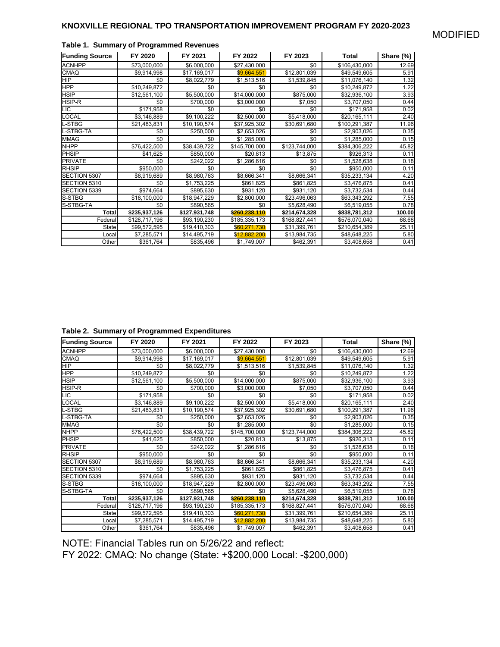| <b>Funding Source</b> | FY 2020       | FY 2021       | FY 2022       | FY 2023       | Total         | Share (%) |
|-----------------------|---------------|---------------|---------------|---------------|---------------|-----------|
| <b>ACNHPP</b>         | \$73,000,000  | \$6,000,000   | \$27,430,000  | \$0           | \$106,430,000 | 12.69     |
| <b>CMAQ</b>           | \$9,914,998   | \$17,169,017  | \$9,664,551   | \$12,801,039  | \$49,549,605  | 5.91      |
| <b>HIP</b>            | \$0           | \$8.022.779   | \$1,513,516   | \$1,539,845   | \$11,076,140  | 1.32      |
| <b>HPP</b>            | \$10,249,872  | \$0           | \$0           | \$0           | \$10,249,872  | 1.22      |
| <b>HSIP</b>           | \$12,561,100  | \$5,500,000   | \$14,000,000  | \$875,000     | \$32,936,100  | 3.93      |
| HSIP-R                | \$0           | \$700,000     | \$3,000,000   | \$7,050       | \$3,707,050   | 0.44      |
| <b>LIC</b>            | \$171,958     | \$0           | \$0           | \$0           | \$171,958     | 0.02      |
| <b>LOCAL</b>          | \$3,146,889   | \$9,100,222   | \$2,500,000   | \$5,418,000   | \$20,165,111  | 2.40      |
| L-STBG                | \$21,483,831  | \$10,190,574  | \$37,925,302  | \$30,691,680  | \$100,291,387 | 11.96     |
| L-STBG-TA             | \$0           | \$250,000     | \$2,653,026   | \$0           | \$2,903,026   | 0.35      |
| <b>MMAG</b>           | \$0           | \$0           | \$1,285,000   | \$0           | \$1,285,000   | 0.15      |
| <b>NHPP</b>           | \$76,422,500  | \$38,439,722  | \$145,700,000 | \$123,744,000 | \$384,306,222 | 45.82     |
| PHSIP                 | \$41,625      | \$850,000     | \$20,813      | \$13,875      | \$926,313     | 0.11      |
| <b>PRIVATE</b>        | \$0           | \$242,022     | \$1,286,616   | \$0           | \$1,528,638   | 0.18      |
| <b>RHSIP</b>          | \$950,000     | \$0           | \$0           | \$0           | \$950,000     | 0.11      |
| SECTION 5307          | \$8,919,689   | \$8,980,763   | \$8,666,341   | \$8,666,341   | \$35,233,134  | 4.20      |
| SECTION 5310          | \$0           | \$1,753,225   | \$861,825     | \$861,825     | \$3,476,875   | 0.41      |
| SECTION 5339          | \$974,664     | \$895,630     | \$931,120     | \$931,120     | \$3,732,534   | 0.44      |
| S-STBG                | \$18,100,000  | \$18,947,229  | \$2,800,000   | \$23,496,063  | \$63,343,292  | 7.55      |
| S-STBG-TA             | \$0           | \$890,565     | \$0           | \$5,628,490   | \$6,519,055   | 0.78      |
| Total                 | \$235,937,126 | \$127,931,748 | \$260.238.110 | \$214,674,328 | \$838,781,312 | 100.00    |
| Federal               | \$128,717,196 | \$93,190,230  | \$185,335,173 | \$168,827,441 | \$576,070,040 | 68.68     |
| State                 | \$99,572,595  | \$19,410,303  | \$60,271,730  | \$31,399,761  | \$210,654,389 | 25.11     |
| Local                 | \$7,285,571   | \$14,495,719  | \$12,882,200  | \$13,984,735  | \$48,648,225  | 5.80      |
| Other                 | \$361,764     | \$835,496     | \$1,749,007   | \$462,391     | \$3,408,658   | 0.41      |

### **Table 1. Summary of Programmed Revenues**

**Table 2. Summary of Programmed Expenditures**

| <b>Funding Source</b> | FY 2020       | FY 2021       | FY 2022       | FY 2023       | Total         | Share (%) |
|-----------------------|---------------|---------------|---------------|---------------|---------------|-----------|
| <b>ACNHPP</b>         | \$73,000,000  | \$6,000,000   | \$27,430,000  | \$0           | \$106,430,000 | 12.69     |
| <b>CMAQ</b>           | \$9,914,998   | \$17,169,017  | \$9,664,551   | \$12,801,039  | \$49,549,605  | 5.91      |
| <b>HIP</b>            | \$0           | \$8,022,779   | \$1,513,516   | \$1,539,845   | \$11,076,140  | 1.32      |
| <b>HPP</b>            | \$10,249,872  | \$0           | \$0           | \$0           | \$10,249,872  | 1.22      |
| <b>HSIP</b>           | \$12.561.100  | \$5,500,000   | \$14,000,000  | \$875,000     | \$32,936,100  | 3.93      |
| HSIP-R                | \$0           | \$700,000     | \$3,000,000   | \$7,050       | \$3,707,050   | 0.44      |
| <b>LIC</b>            | \$171,958     | \$0           | \$0           | \$0           | \$171,958     | 0.02      |
| LOCAL                 | \$3,146,889   | \$9,100,222   | \$2,500,000   | \$5,418,000   | \$20,165,111  | 2.40      |
| -STBG                 | \$21,483,831  | \$10,190,574  | \$37,925,302  | \$30,691,680  | \$100,291,387 | 11.96     |
| -STBG-TA              | \$0           | \$250,000     | \$2,653,026   | \$0           | \$2,903,026   | 0.35      |
| <b>MMAG</b>           | \$0           | \$0           | \$1,285,000   | \$0           | \$1,285,000   | 0.15      |
| <b>NHPP</b>           | \$76,422,500  | \$38,439,722  | \$145,700,000 | \$123,744,000 | \$384,306,222 | 45.82     |
| PHSIP                 | \$41,625      | \$850,000     | \$20,813      | \$13,875      | \$926,313     | 0.11      |
| <b>PRIVATE</b>        | \$0           | \$242,022     | \$1,286,616   | \$0           | \$1,528,638   | 0.18      |
| <b>RHSIP</b>          | \$950,000     | \$0           | \$0           | \$0           | \$950,000     | 0.11      |
| SECTION 5307          | \$8,919,689   | \$8,980,763   | \$8,666,341   | \$8,666,341   | \$35,233,134  | 4.20      |
| SECTION 5310          | \$0           | \$1,753,225   | \$861,825     | \$861,825     | \$3,476,875   | 0.41      |
| SECTION 5339          | \$974,664     | \$895,630     | \$931,120     | \$931,120     | \$3,732,534   | 0.44      |
| <b>S-STBG</b>         | \$18,100,000  | \$18,947,229  | \$2,800,000   | \$23,496,063  | \$63,343,292  | 7.55      |
| S-STBG-TA             | \$0           | \$890,565     | \$0           | \$5,628,490   | \$6,519,055   | 0.78      |
| <b>Total</b>          | \$235,937,126 | \$127,931,748 | \$260,238,110 | \$214,674,328 | \$838,781,312 | 100.00    |
| Federal               | \$128,717,196 | \$93,190,230  | \$185,335,173 | \$168,827,441 | \$576,070,040 | 68.68     |
| <b>State</b>          | \$99,572,595  | \$19,410,303  | \$60,271,730  | \$31,399,761  | \$210,654,389 | 25.11     |
| Local                 | \$7,285,571   | \$14,495,719  | \$12,882,200  | \$13,984,735  | \$48,648,225  | 5.80      |
| Other                 | \$361,764     | \$835,496     | \$1,749,007   | \$462,391     | \$3,408,658   | 0.41      |

NOTE: Financial Tables run on 5/26/22 and reflect:

FY 2022: CMAQ: No change (State: +\$200,000 Local: -\$200,000)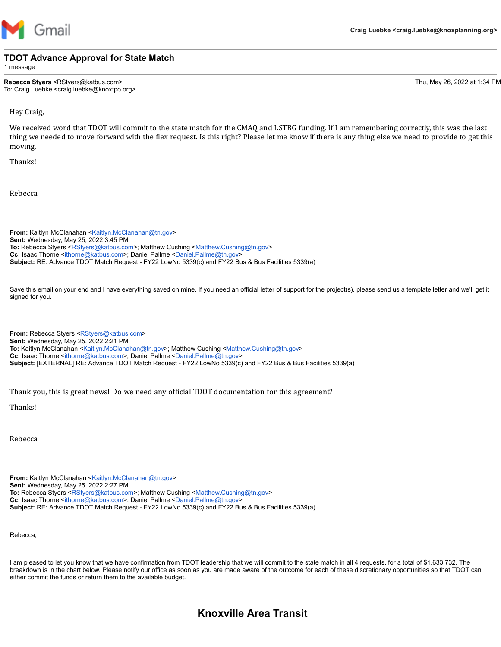

### **TDOT Advance Approval for State Match**

1 message

**Rebecca Styers** <RStyers@katbus.com> Thu, May 26, 2022 at 1:34 PM To: Craig Luebke <craig.luebke@knoxtpo.org>

Hey Craig,

We received word that TDOT will commit to the state match for the CMAQ and LSTBG funding. If I am remembering correctly, this was the last thing we needed to move forward with the flex request. Is this right? Please let me know if there is any thing else we need to provide to get this moving.

Thanks!

Rebecca

**From:** Kaitlyn McClanahan [<Kaitlyn.McClanahan@tn.gov>](mailto:Kaitlyn.McClanahan@tn.gov) **Sent:** Wednesday, May 25, 2022 3:45 PM **To:** Rebecca Styers <[RStyers@katbus.com](mailto:RStyers@katbus.com)>; Matthew Cushing [<Matthew.Cushing@tn.gov](mailto:Matthew.Cushing@tn.gov)> **Cc:** Isaac Thorne [<ithorne@katbus.com>](mailto:ithorne@katbus.com); Daniel Pallme [<Daniel.Pallme@tn.gov>](mailto:Daniel.Pallme@tn.gov) **Subject:** RE: Advance TDOT Match Request - FY22 LowNo 5339(c) and FY22 Bus & Bus Facilities 5339(a)

Save this email on your end and I have everything saved on mine. If you need an official letter of support for the project(s), please send us a template letter and we'll get it signed for you.

**From:** Rebecca Styers [<RStyers@katbus.com](mailto:RStyers@katbus.com)> **Sent:** Wednesday, May 25, 2022 2:21 PM **To:** Kaitlyn McClanahan <[Kaitlyn.McClanahan@tn.gov>](mailto:Kaitlyn.McClanahan@tn.gov); Matthew Cushing [<Matthew.Cushing@tn.gov>](mailto:Matthew.Cushing@tn.gov) **Cc:** Isaac Thorne [<ithorne@katbus.com>](mailto:ithorne@katbus.com); Daniel Pallme [<Daniel.Pallme@tn.gov>](mailto:Daniel.Pallme@tn.gov) **Subject:** [EXTERNAL] RE: Advance TDOT Match Request - FY22 LowNo 5339(c) and FY22 Bus & Bus Facilities 5339(a)

Thank you, this is great news! Do we need any official TDOT documentation for this agreement?

Thanks!

Rebecca

**From:** Kaitlyn McClanahan [<Kaitlyn.McClanahan@tn.gov>](mailto:Kaitlyn.McClanahan@tn.gov) **Sent:** Wednesday, May 25, 2022 2:27 PM **To:** Rebecca Styers <[RStyers@katbus.com](mailto:RStyers@katbus.com)>; Matthew Cushing [<Matthew.Cushing@tn.gov](mailto:Matthew.Cushing@tn.gov)> **Cc:** Isaac Thorne [<ithorne@katbus.com>](mailto:ithorne@katbus.com); Daniel Pallme [<Daniel.Pallme@tn.gov>](mailto:Daniel.Pallme@tn.gov) **Subject:** RE: Advance TDOT Match Request - FY22 LowNo 5339(c) and FY22 Bus & Bus Facilities 5339(a)

Rebecca,

I am pleased to let you know that we have confirmation from TDOT leadership that we will commit to the state match in all 4 requests, for a total of \$1,633,732. The breakdown is in the chart below. Please notify our office as soon as you are made aware of the outcome for each of these discretionary opportunities so that TDOT can either commit the funds or return them to the available budget.

## **Knoxville Area Transit**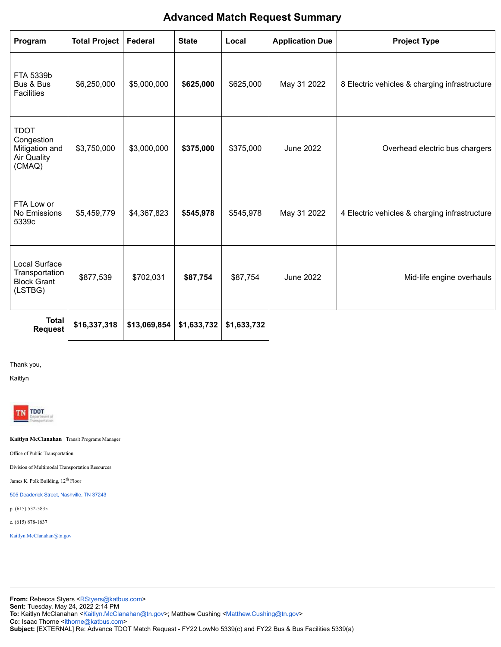## **Advanced Match Request Summary**

| Program                                                                     | <b>Total Project</b> | Federal      | <b>State</b> | Local       | <b>Application Due</b> | <b>Project Type</b>                           |
|-----------------------------------------------------------------------------|----------------------|--------------|--------------|-------------|------------------------|-----------------------------------------------|
| FTA 5339b<br>Bus & Bus<br><b>Facilities</b>                                 | \$6,250,000          | \$5,000,000  | \$625,000    | \$625,000   | May 31 2022            | 8 Electric vehicles & charging infrastructure |
| <b>TDOT</b><br>Congestion<br>Mitigation and<br><b>Air Quality</b><br>(CMAQ) | \$3,750,000          | \$3,000,000  | \$375,000    | \$375,000   | <b>June 2022</b>       | Overhead electric bus chargers                |
| FTA Low or<br>No Emissions<br>5339c                                         | \$5,459,779          | \$4,367,823  | \$545,978    | \$545,978   | May 31 2022            | 4 Electric vehicles & charging infrastructure |
| Local Surface<br>Transportation<br><b>Block Grant</b><br>(LSTBG)            | \$877,539            | \$702,031    | \$87,754     | \$87,754    | <b>June 2022</b>       | Mid-life engine overhauls                     |
| <b>Total</b><br><b>Request</b>                                              | \$16,337,318         | \$13,069,854 | \$1,633,732  | \$1,633,732 |                        |                                               |

Thank you,

Kaitlyn



**Kaitlyn McClanahan** | Transit Programs Manager

Office of Public Transportation

Division of Multimodal Transportation Resources

James K. Polk Building, 12<sup>th</sup> Floor

[505 Deaderick Street, Nashville, TN 37243](https://www.google.com/maps/search/505+Deaderick+Street,+Nashville,+TN+37243?entry=gmail&source=g)

p. (615) 532-5835

c. (615) 878-1637

[Kaitlyn.McClanahan@tn.gov](mailto:Kaitlyn.McClanahan@tn.gov)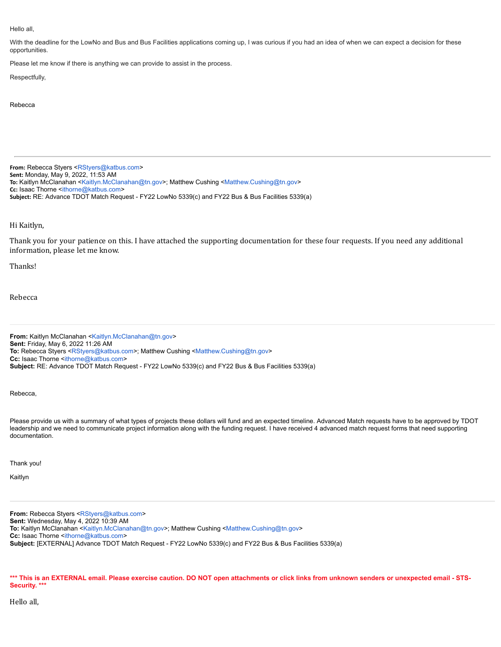#### Hello all,

With the deadline for the LowNo and Bus and Bus Facilities applications coming up, I was curious if you had an idea of when we can expect a decision for these opportunities.

Please let me know if there is anything we can provide to assist in the process.

#### Respectfully,

#### Rebecca

**From:** Rebecca Styers <[RStyers@katbus.com](mailto:RStyers@katbus.com)> **Sent:** Monday, May 9, 2022, 11:53 AM **To:** Kaitlyn McClanahan <[Kaitlyn.McClanahan@tn.gov>](mailto:Kaitlyn.McClanahan@tn.gov); Matthew Cushing [<Matthew.Cushing@tn.gov](mailto:Matthew.Cushing@tn.gov)> **Cc:** Isaac Thorne <[ithorne@katbus.com>](mailto:ithorne@katbus.com) **Subject:** RE: Advance TDOT Match Request - FY22 LowNo 5339(c) and FY22 Bus & Bus Facilities 5339(a)

### Hi Kaitlyn,

Thank you for your patience on this. I have attached the supporting documentation for these four requests. If you need any additional information, please let me know.

Thanks!

Rebecca

**From:** Kaitlyn McClanahan [<Kaitlyn.McClanahan@tn.gov>](mailto:Kaitlyn.McClanahan@tn.gov) **Sent:** Friday, May 6, 2022 11:26 AM **To:** Rebecca Styers <[RStyers@katbus.com](mailto:RStyers@katbus.com)>; Matthew Cushing [<Matthew.Cushing@tn.gov](mailto:Matthew.Cushing@tn.gov)> **Cc:** Isaac Thorne <*ithorne@katbus.com>* **Subject:** RE: Advance TDOT Match Request - FY22 LowNo 5339(c) and FY22 Bus & Bus Facilities 5339(a)

Rebecca,

Please provide us with a summary of what types of projects these dollars will fund and an expected timeline. Advanced Match requests have to be approved by TDOT leadership and we need to communicate project information along with the funding request. I have received 4 advanced match request forms that need supporting documentation.

Thank you!

Kaitlyn

**From:** Rebecca Styers [<RStyers@katbus.com](mailto:RStyers@katbus.com)> **Sent:** Wednesday, May 4, 2022 10:39 AM **To:** Kaitlyn McClanahan <[Kaitlyn.McClanahan@tn.gov>](mailto:Kaitlyn.McClanahan@tn.gov); Matthew Cushing [<Matthew.Cushing@tn.gov>](mailto:Matthew.Cushing@tn.gov) **Cc:** Isaac Thorne [<ithorne@katbus.com>](mailto:ithorne@katbus.com) **Subject:** [EXTERNAL] Advance TDOT Match Request - FY22 LowNo 5339(c) and FY22 Bus & Bus Facilities 5339(a)

\*\*\* This is an EXTERNAL email. Please exercise caution. DO NOT open attachments or click links from unknown senders or unexpected email - STS-**Security. \*\*\***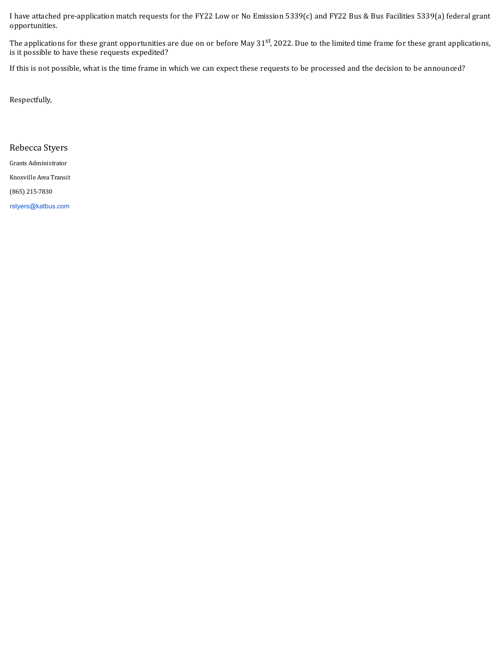I have attached pre-application match requests for the FY22 Low or No Emission 5339(c) and FY22 Bus & Bus Facilities 5339(a) federal grant opportunities.

The applications for these grant opportunities are due on or before May 31<sup>st</sup>, 2022. Due to the limited time frame for these grant applications, is it possible to have these requests expedited?

If this is not possible, what is the time frame in which we can expect these requests to be processed and the decision to be announced?

Respectfully,

Rebecca Styers

Grants Administrator

Knoxville Area Transit

(865) 215-7830

[rstyers@katbus.com](mailto:rstyers@katbus.com)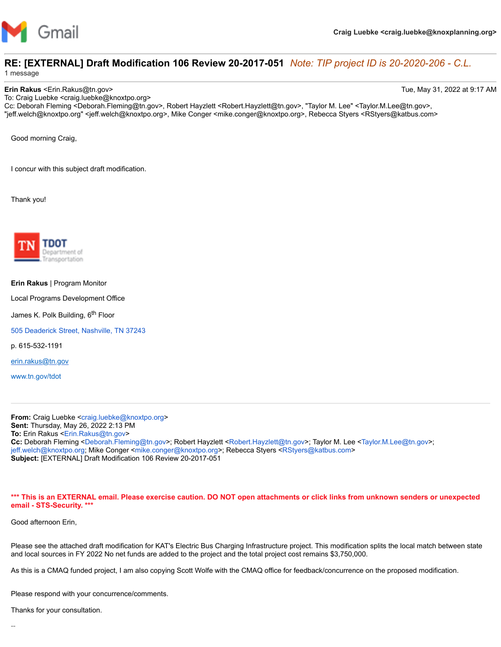

# **RE: [EXTERNAL] Draft Modification 106 Review 20-2017-051** *Note: TIP project ID is 20-2020-206 - C.L.*

1 message

**Erin Rakus** <Erin.Rakus@tn.gov> Tue, May 31, 2022 at 9:17 AM

To: Craig Luebke <craig.luebke@knoxtpo.org> Cc: Deborah Fleming <Deborah.Fleming@tn.gov>, Robert Hayzlett <Robert.Hayzlett@tn.gov>, "Taylor M. Lee" <Taylor.M.Lee@tn.gov>, "jeff.welch@knoxtpo.org" <jeff.welch@knoxtpo.org>, Mike Conger <mike.conger@knoxtpo.org>, Rebecca Styers <RStyers@katbus.com>

Good morning Craig,

I concur with this subject draft modification.

Thank you!



#### **Erin Rakus** | Program Monitor

Local Programs Development Office

James K. Polk Building, 6<sup>th</sup> Floor

[505 Deaderick Street, Nashville, TN 37243](https://www.google.com/maps/search/505+Deaderick+Street,+Nashville,+TN+37243?entry=gmail&source=g)

p. 615-532-1191

[erin.rakus@tn.gov](mailto:erin.rakus@tn.gov)

[www.tn.gov/tdot](http://www.tn.gov/tdot)

**From:** Craig Luebke [<craig.luebke@knoxtpo.org](mailto:craig.luebke@knoxtpo.org)> **Sent:** Thursday, May 26, 2022 2:13 PM **To:** Erin Rakus <[Erin.Rakus@tn.gov>](mailto:Erin.Rakus@tn.gov) **Cc:** Deborah Fleming <[Deborah.Fleming@tn.gov>](mailto:Deborah.Fleming@tn.gov); Robert Hayzlett <[Robert.Hayzlett@tn.gov>](mailto:Robert.Hayzlett@tn.gov); Taylor M. Lee <[Taylor.M.Lee@tn.gov>](mailto:Taylor.M.Lee@tn.gov); [jeff.welch@knoxtpo.org;](mailto:jeff.welch@knoxtpo.org) Mike Conger [<mike.conger@knoxtpo.org](mailto:mike.conger@knoxtpo.org)>; Rebecca Styers [<RStyers@katbus.com](mailto:RStyers@katbus.com)> **Subject:** [EXTERNAL] Draft Modification 106 Review 20-2017-051

**\*\*\* This is an EXTERNAL email. Please exercise caution. DO NOT open attachments or click links from unknown senders or unexpected email - STS-Security. \*\*\***

Good afternoon Erin,

Please see the attached draft modification for KAT's Electric Bus Charging Infrastructure project. This modification splits the local match between state and local sources in FY 2022 No net funds are added to the project and the total project cost remains \$3,750,000.

As this is a CMAQ funded project, I am also copying Scott Wolfe with the CMAQ office for feedback/concurrence on the proposed modification.

Please respond with your concurrence/comments.

Thanks for your consultation.